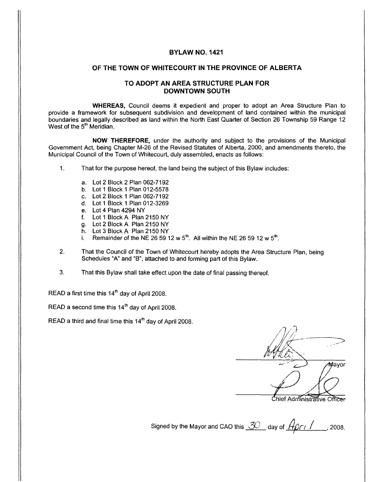# **BYLAW NO. 1421**

# **OF THE TOWN OF WHITECOURT IN THE PROVINCE OF ALBERTA**

# **TO ADOPT AN AREA STRUCTURE PLAN FOR DOWNTOWN SOUTH**

**WHEREAS,** Council deems it expedient and proper to adopt an Area Structure Plan to provide a framework for subsequent subdivision and development of land contained within the municipal boundaries and legally described as land within the North East Quarter of Section 26 Township 59 Range 12 West of the 5<sup>th</sup> Meridian.

**NOW THEREFORE,** under the authority and subject to the provisions of the Municipal Government Act, being Chapter M-26 of the Revised Statutes of Alberta, 2000, and amendments thereto, the Municipal Council of the Town of Whitecourt, duly assembled, enacts as follows:

- 1. That for the purpose hereof, the land being the subject of this Bylaw includes:
	- a. Lot 2 Block 2 Plan 062-7192
	- b. Lot 1 Block 1 Plan 012-5578
	- c. Lot 2 Block 1 Plan 062-7192
	- d. Lot 1 Block 1 Plan 012-3269
	- e. Lot 4 Plan 4294 NY
	- f. Lot 1 Block A Plan 2150 NY
	- g. Lot 2 Block A Plan 2150 NY
	- h. Lot 3 Block A Plan 2150 NY
	- i. Remainder of the NE 26 59 12 w  $5^{\text{th}}$ . All within the NE 26 59 12 w  $5^{\text{th}}$ .
- 2. That the Council of the Town of Whitecourt hereby adopts the Area Structure Plan, being Schedules "A" and "B", attached to and forming part of this Bylaw.
- 3. That this Bylaw shall take effect upon the date of final passing thereof.

READ a first time this  $14<sup>th</sup>$  day of April 2008.

READ a second time this  $14<sup>th</sup>$  day of April 2008.

READ a third and final time this  $14<sup>th</sup>$  day of April 2008.

งใav∩เ

Chief Administrative Officer

Signed by the Mayor and CAO this <u>30</u> day of  $\frac{A_{DT}}{A}$  / 2008.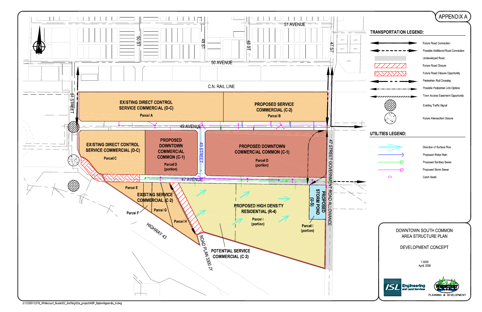



# **TRANSPORTATION LEGEND:**





Future Road Connection

Possible Additional Road Connection

Undeveloped Road

Future Road Closure

Future Road Closure Opportunity

Pedestrian Rail Crossing

Possible Pedestrian Link Options

Town Access Easement Opportunity

**Existing Traffic Signal** 

Future Intersection Closure

# UTILITIES LEGEND:



Direction of Surface Flow Proposed Water Main Proposed Sanitary Sewer Proposed Storm Sewer Catch Basin

# DOWNTOWN SOUTH COMMON AREA STRUCTURE PLAN

# DEVELOPMENT CONCEPT

1 3000 April, 2008





PLANNING & DEVELOPMENT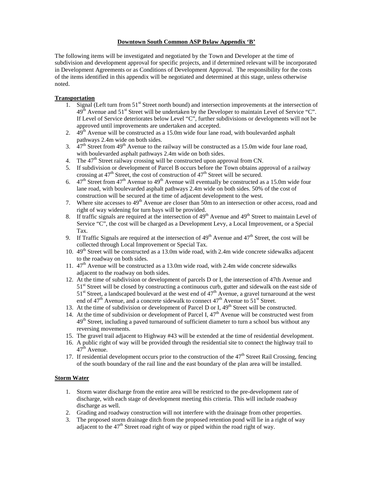# **Downtown South Common ASP Bylaw Appendix 'B'**

The following items will be investigated and negotiated by the Town and Developer at the time of subdivision and development approval for specific projects, and if determined relevant will be incorporated in Development Agreements or as Conditions of Development Approval. The responsibility for the costs of the items identified in this appendix will be negotiated and determined at this stage, unless otherwise noted.

#### **Transportation**

- 1. Signal (Left turn from  $51<sup>st</sup>$  Street north bound) and intersection improvements at the intersection of  $49<sup>th</sup>$  Avenue and  $51<sup>st</sup>$  Street will be undertaken by the Developer to maintain Level of Service "C". If Level of Service deteriorates below Level "C", further subdivisions or developments will not be approved until improvements are undertaken and accepted.
- 2.  $49<sup>th</sup>$  Avenue will be constructed as a 15.0m wide four lane road, with boulevarded asphalt pathways 2.4m wide on both sides.
- 3.  $47<sup>th</sup>$  Street from 49<sup>th</sup> Avenue to the railway will be constructed as a 15.0m wide four lane road, with boulevarded asphalt pathways 2.4m wide on both sides.
- 4. The  $47<sup>th</sup>$  Street railway crossing will be constructed upon approval from CN.
- 5. If subdivision or development of Parcel B occurs before the Town obtains approval of a railway crossing at  $47<sup>th</sup>$  Street, the cost of construction of  $47<sup>th</sup>$  Street will be secured.
- 6.  $47<sup>th</sup>$  Street from  $47<sup>th</sup>$  Avenue to  $49<sup>th</sup>$  Avenue will eventually be constructed as a 15.0m wide four lane road, with boulevarded asphalt pathways 2.4m wide on both sides. 50% of the cost of construction will be secured at the time of adjacent development to the west.
- 7. Where site accesses to  $49<sup>th</sup>$  Avenue are closer than 50m to an intersection or other access, road and right of way widening for turn bays will be provided.
- 8. If traffic signals are required at the intersection of  $49<sup>th</sup>$  Avenue and  $49<sup>th</sup>$  Street to maintain Level of Service "C", the cost will be charged as a Development Levy, a Local Improvement, or a Special Tax.
- 9. If Traffic Signals are required at the intersection of  $49<sup>th</sup>$  Avenue and  $47<sup>th</sup>$  Street, the cost will be collected through Local Improvement or Special Tax.
- 10.  $49<sup>th</sup>$  Street will be constructed as a 13.0m wide road, with 2.4m wide concrete sidewalks adjacent to the roadway on both sides.
- 11.  $47<sup>th</sup>$  Avenue will be constructed as a 13.0m wide road, with 2.4m wide concrete sidewalks adjacent to the roadway on both sides.
- 12. At the time of subdivision or development of parcels D or I, the intersection of 47th Avenue and 51<sup>st</sup> Street will be closed by constructing a continuous curb, gutter and sidewalk on the east side of  $51<sup>st</sup>$  Street, a landscaped boulevard at the west end of  $47<sup>th</sup>$  Avenue, a gravel turnaround at the west end of  $47<sup>th</sup>$  Avenue, and a concrete sidewalk to connect  $47<sup>th</sup>$  Avenue to  $51<sup>st</sup>$  Street.
- 13. At the time of subdivision or development of Parcel D or I,  $49<sup>th</sup>$  Street will be constructed.
- 14. At the time of subdivision or development of Parcel I,  $47<sup>th</sup>$  Avenue will be constructed west from 49<sup>th</sup> Street, including a paved turnaround of sufficient diameter to turn a school bus without any reversing movements.
- 15. The gravel trail adjacent to Highway #43 will be extended at the time of residential development.
- 16. A public right of way will be provided through the residential site to connect the highway trail to  $47<sup>th</sup>$  Avenue.
- 17. If residential development occurs prior to the construction of the  $47<sup>th</sup>$  Street Rail Crossing, fencing of the south boundary of the rail line and the east boundary of the plan area will be installed.

#### **Storm Water**

- 1. Storm water discharge from the entire area will be restricted to the pre-development rate of discharge, with each stage of development meeting this criteria. This will include roadway discharge as well.
- 2. Grading and roadway construction will not interfere with the drainage from other properties.
- 3. The proposed storm drainage ditch from the proposed retention pond will lie in a right of way adjacent to the  $47<sup>th</sup>$  Street road right of way or piped within the road right of way.